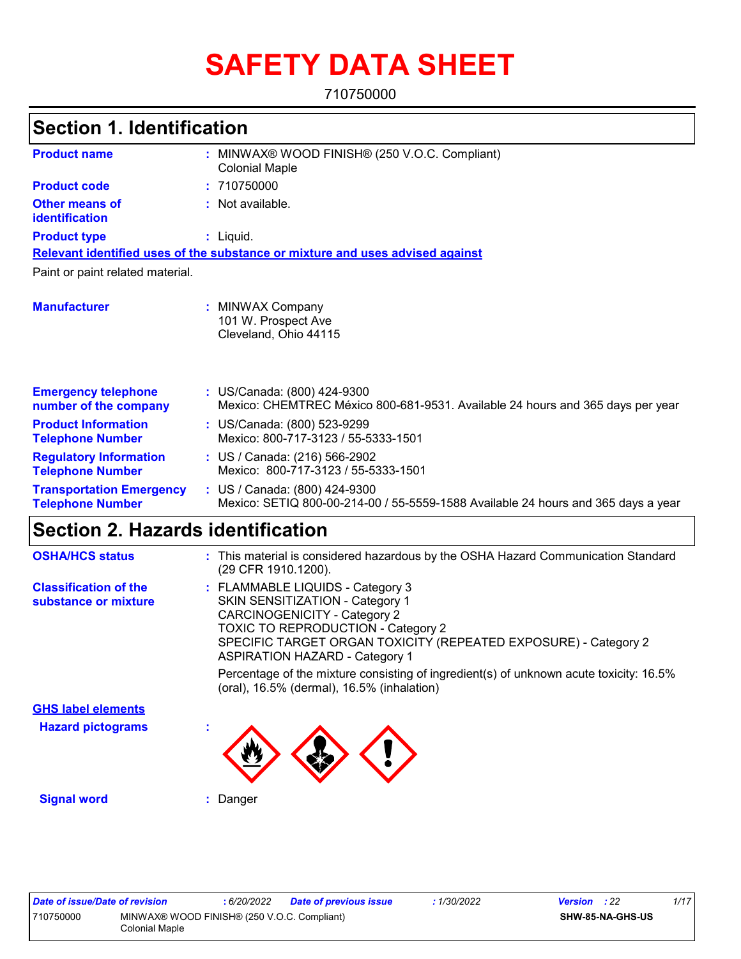# **SAFETY DATA SHEET**

710750000

## **Section 1. Identification**

| <b>Product name</b>                                        | MINWAX® WOOD FINISH® (250 V.O.C. Compliant)<br><b>Colonial Maple</b>                                               |
|------------------------------------------------------------|--------------------------------------------------------------------------------------------------------------------|
| <b>Product code</b>                                        | : 710750000                                                                                                        |
| <b>Other means of</b><br>identification                    | : Not available.                                                                                                   |
| <b>Product type</b>                                        | $:$ Liquid.                                                                                                        |
|                                                            | Relevant identified uses of the substance or mixture and uses advised against                                      |
| Paint or paint related material.                           |                                                                                                                    |
| <b>Manufacturer</b>                                        | <b>MINWAX Company</b><br>101 W. Prospect Ave<br>Cleveland, Ohio 44115                                              |
| <b>Emergency telephone</b><br>number of the company        | : US/Canada: (800) 424-9300<br>Mexico: CHEMTREC México 800-681-9531. Available 24 hours and 365 days per year      |
| <b>Product Information</b><br><b>Telephone Number</b>      | : US/Canada: (800) 523-9299<br>Mexico: 800-717-3123 / 55-5333-1501                                                 |
| <b>Regulatory Information</b><br><b>Telephone Number</b>   | : US / Canada: (216) 566-2902<br>Mexico: 800-717-3123 / 55-5333-1501                                               |
| <b>Transportation Emergency</b><br><b>Telephone Number</b> | : US / Canada: (800) 424-9300<br>Mexico: SETIQ 800-00-214-00 / 55-5559-1588 Available 24 hours and 365 days a year |

# **Section 2. Hazards identification**

| <b>OSHA/HCS status</b>                               | : This material is considered hazardous by the OSHA Hazard Communication Standard<br>(29 CFR 1910.1200).                                                                                                                                                                   |
|------------------------------------------------------|----------------------------------------------------------------------------------------------------------------------------------------------------------------------------------------------------------------------------------------------------------------------------|
| <b>Classification of the</b><br>substance or mixture | : FLAMMABLE LIQUIDS - Category 3<br><b>SKIN SENSITIZATION - Category 1</b><br><b>CARCINOGENICITY - Category 2</b><br><b>TOXIC TO REPRODUCTION - Category 2</b><br>SPECIFIC TARGET ORGAN TOXICITY (REPEATED EXPOSURE) - Category 2<br><b>ASPIRATION HAZARD - Category 1</b> |
|                                                      | Percentage of the mixture consisting of ingredient(s) of unknown acute toxicity: 16.5%<br>(oral), 16.5% (dermal), 16.5% (inhalation)                                                                                                                                       |
| <b>GHS label elements</b>                            |                                                                                                                                                                                                                                                                            |
| <b>Hazard pictograms</b>                             |                                                                                                                                                                                                                                                                            |
| <b>Signal word</b>                                   | Danger                                                                                                                                                                                                                                                                     |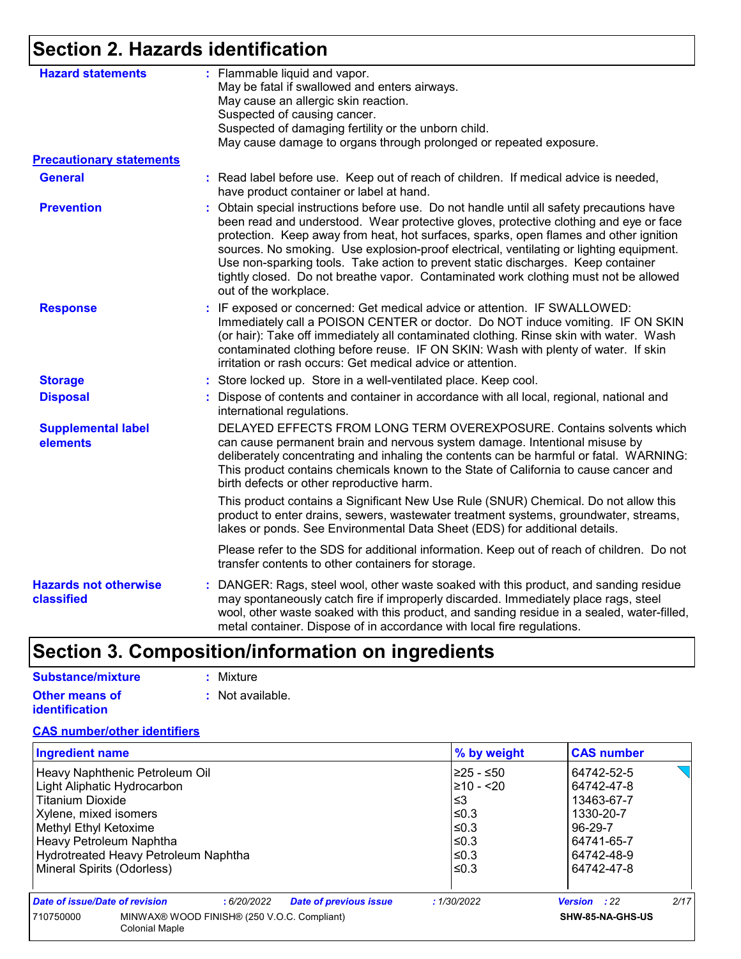# **Section 2. Hazards identification**

| <b>Hazard statements</b>                   | : Flammable liquid and vapor.<br>May be fatal if swallowed and enters airways.                                                                                                                                                                                                                                                                                                                                                                                                                                                                                                  |
|--------------------------------------------|---------------------------------------------------------------------------------------------------------------------------------------------------------------------------------------------------------------------------------------------------------------------------------------------------------------------------------------------------------------------------------------------------------------------------------------------------------------------------------------------------------------------------------------------------------------------------------|
|                                            | May cause an allergic skin reaction.                                                                                                                                                                                                                                                                                                                                                                                                                                                                                                                                            |
|                                            | Suspected of causing cancer.                                                                                                                                                                                                                                                                                                                                                                                                                                                                                                                                                    |
|                                            | Suspected of damaging fertility or the unborn child.                                                                                                                                                                                                                                                                                                                                                                                                                                                                                                                            |
|                                            | May cause damage to organs through prolonged or repeated exposure.                                                                                                                                                                                                                                                                                                                                                                                                                                                                                                              |
| <b>Precautionary statements</b>            |                                                                                                                                                                                                                                                                                                                                                                                                                                                                                                                                                                                 |
| <b>General</b>                             | : Read label before use. Keep out of reach of children. If medical advice is needed,<br>have product container or label at hand.                                                                                                                                                                                                                                                                                                                                                                                                                                                |
| <b>Prevention</b>                          | Obtain special instructions before use. Do not handle until all safety precautions have<br>÷.<br>been read and understood. Wear protective gloves, protective clothing and eye or face<br>protection. Keep away from heat, hot surfaces, sparks, open flames and other ignition<br>sources. No smoking. Use explosion-proof electrical, ventilating or lighting equipment.<br>Use non-sparking tools. Take action to prevent static discharges. Keep container<br>tightly closed. Do not breathe vapor. Contaminated work clothing must not be allowed<br>out of the workplace. |
| <b>Response</b>                            | : IF exposed or concerned: Get medical advice or attention. IF SWALLOWED:<br>Immediately call a POISON CENTER or doctor. Do NOT induce vomiting. IF ON SKIN<br>(or hair): Take off immediately all contaminated clothing. Rinse skin with water. Wash<br>contaminated clothing before reuse. IF ON SKIN: Wash with plenty of water. If skin<br>irritation or rash occurs: Get medical advice or attention.                                                                                                                                                                      |
| <b>Storage</b>                             | : Store locked up. Store in a well-ventilated place. Keep cool.                                                                                                                                                                                                                                                                                                                                                                                                                                                                                                                 |
| <b>Disposal</b>                            | : Dispose of contents and container in accordance with all local, regional, national and<br>international regulations.                                                                                                                                                                                                                                                                                                                                                                                                                                                          |
| <b>Supplemental label</b><br>elements      | DELAYED EFFECTS FROM LONG TERM OVEREXPOSURE. Contains solvents which<br>can cause permanent brain and nervous system damage. Intentional misuse by<br>deliberately concentrating and inhaling the contents can be harmful or fatal. WARNING:<br>This product contains chemicals known to the State of California to cause cancer and<br>birth defects or other reproductive harm.                                                                                                                                                                                               |
|                                            | This product contains a Significant New Use Rule (SNUR) Chemical. Do not allow this<br>product to enter drains, sewers, wastewater treatment systems, groundwater, streams,<br>lakes or ponds. See Environmental Data Sheet (EDS) for additional details.                                                                                                                                                                                                                                                                                                                       |
|                                            | Please refer to the SDS for additional information. Keep out of reach of children. Do not<br>transfer contents to other containers for storage.                                                                                                                                                                                                                                                                                                                                                                                                                                 |
| <b>Hazards not otherwise</b><br>classified | : DANGER: Rags, steel wool, other waste soaked with this product, and sanding residue<br>may spontaneously catch fire if improperly discarded. Immediately place rags, steel<br>wool, other waste soaked with this product, and sanding residue in a sealed, water-filled,<br>metal container. Dispose of in accordance with local fire regulations.                                                                                                                                                                                                                            |

# **Section 3. Composition/information on ingredients**

| Substance/mixture                              | : Mixture        |
|------------------------------------------------|------------------|
| <b>Other means of</b><br><i>identification</i> | : Not available. |

### **CAS number/other identifiers**

| <b>Ingredient name</b>                                                            | % by weight    | <b>CAS number</b>    |  |  |
|-----------------------------------------------------------------------------------|----------------|----------------------|--|--|
| Heavy Naphthenic Petroleum Oil                                                    | 225 - ≤50      | 64742-52-5           |  |  |
| Light Aliphatic Hydrocarbon                                                       | $\geq 10 - 20$ | 64742-47-8           |  |  |
| <b>Titanium Dioxide</b>                                                           | $\leq$ 3       | 13463-67-7           |  |  |
| Xylene, mixed isomers                                                             | $\leq$ 0.3     | 1330-20-7            |  |  |
| Methyl Ethyl Ketoxime                                                             | $\leq$ 0.3     | 96-29-7              |  |  |
| Heavy Petroleum Naphtha                                                           | $\leq$ 0.3     | 64741-65-7           |  |  |
| Hydrotreated Heavy Petroleum Naphtha                                              | $\leq$ 0.3     | 64742-48-9           |  |  |
| Mineral Spirits (Odorless)                                                        | l≤0.3          | 64742-47-8           |  |  |
| Date of issue/Date of revision<br><b>Date of previous issue</b><br>:6/20/2022     | :1/30/2022     | 2/17<br>Version : 22 |  |  |
| MINWAX® WOOD FINISH® (250 V.O.C. Compliant)<br>710750000<br><b>Colonial Maple</b> |                | SHW-85-NA-GHS-US     |  |  |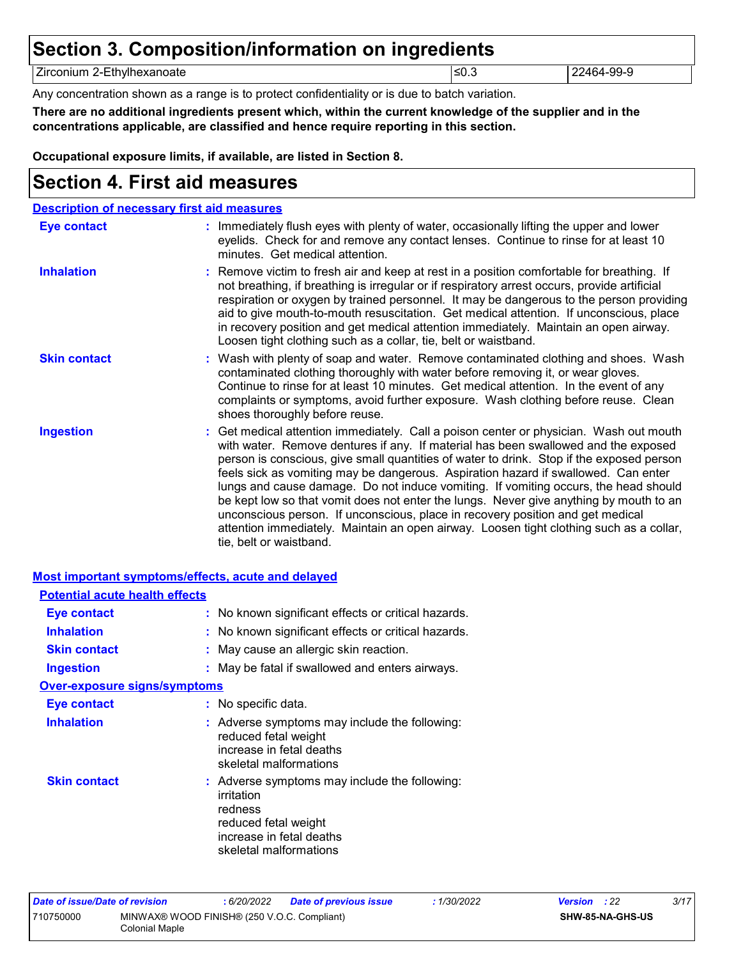# **Section 3. Composition/information on ingredients**

Zirconium 2-Ethylhexanoate 22464-99-9 22464-99-9

Any concentration shown as a range is to protect confidentiality or is due to batch variation.

**There are no additional ingredients present which, within the current knowledge of the supplier and in the concentrations applicable, are classified and hence require reporting in this section.**

**Occupational exposure limits, if available, are listed in Section 8.**

### **Section 4. First aid measures**

| <b>Description of necessary first aid measures</b> |                                                                                                                                                                                                                                                                                                                                                                                                                                                                                                                                                                                                                                                                                                                                                         |
|----------------------------------------------------|---------------------------------------------------------------------------------------------------------------------------------------------------------------------------------------------------------------------------------------------------------------------------------------------------------------------------------------------------------------------------------------------------------------------------------------------------------------------------------------------------------------------------------------------------------------------------------------------------------------------------------------------------------------------------------------------------------------------------------------------------------|
| Eye contact                                        | : Immediately flush eyes with plenty of water, occasionally lifting the upper and lower<br>eyelids. Check for and remove any contact lenses. Continue to rinse for at least 10<br>minutes. Get medical attention.                                                                                                                                                                                                                                                                                                                                                                                                                                                                                                                                       |
| <b>Inhalation</b>                                  | : Remove victim to fresh air and keep at rest in a position comfortable for breathing. If<br>not breathing, if breathing is irregular or if respiratory arrest occurs, provide artificial<br>respiration or oxygen by trained personnel. It may be dangerous to the person providing<br>aid to give mouth-to-mouth resuscitation. Get medical attention. If unconscious, place<br>in recovery position and get medical attention immediately. Maintain an open airway.<br>Loosen tight clothing such as a collar, tie, belt or waistband.                                                                                                                                                                                                               |
| <b>Skin contact</b>                                | : Wash with plenty of soap and water. Remove contaminated clothing and shoes. Wash<br>contaminated clothing thoroughly with water before removing it, or wear gloves.<br>Continue to rinse for at least 10 minutes. Get medical attention. In the event of any<br>complaints or symptoms, avoid further exposure. Wash clothing before reuse. Clean<br>shoes thoroughly before reuse.                                                                                                                                                                                                                                                                                                                                                                   |
| <b>Ingestion</b>                                   | : Get medical attention immediately. Call a poison center or physician. Wash out mouth<br>with water. Remove dentures if any. If material has been swallowed and the exposed<br>person is conscious, give small quantities of water to drink. Stop if the exposed person<br>feels sick as vomiting may be dangerous. Aspiration hazard if swallowed. Can enter<br>lungs and cause damage. Do not induce vomiting. If vomiting occurs, the head should<br>be kept low so that vomit does not enter the lungs. Never give anything by mouth to an<br>unconscious person. If unconscious, place in recovery position and get medical<br>attention immediately. Maintain an open airway. Loosen tight clothing such as a collar,<br>tie, belt or waistband. |

### **Most important symptoms/effects, acute and delayed**

| <b>Potential acute health effects</b> |                                                                                                                                                      |
|---------------------------------------|------------------------------------------------------------------------------------------------------------------------------------------------------|
| Eye contact                           | : No known significant effects or critical hazards.                                                                                                  |
| <b>Inhalation</b>                     | : No known significant effects or critical hazards.                                                                                                  |
| <b>Skin contact</b>                   | : May cause an allergic skin reaction.                                                                                                               |
| <b>Ingestion</b>                      | : May be fatal if swallowed and enters airways.                                                                                                      |
| <b>Over-exposure signs/symptoms</b>   |                                                                                                                                                      |
| <b>Eye contact</b>                    | : No specific data.                                                                                                                                  |
| <b>Inhalation</b>                     | : Adverse symptoms may include the following:<br>reduced fetal weight<br>increase in fetal deaths<br>skeletal malformations                          |
| <b>Skin contact</b>                   | : Adverse symptoms may include the following:<br>irritation<br>redness<br>reduced fetal weight<br>increase in fetal deaths<br>skeletal malformations |

| Date of issue/Date of revision |                                                               | : 6/20/2022 | <b>Date of previous issue</b> | : 1/30/2022 | <b>Version</b> : 22 |                         | 3/17 |
|--------------------------------|---------------------------------------------------------------|-------------|-------------------------------|-------------|---------------------|-------------------------|------|
| 710750000                      | MINWAX® WOOD FINISH® (250 V.O.C. Compliant)<br>Colonial Maple |             |                               |             |                     | <b>SHW-85-NA-GHS-US</b> |      |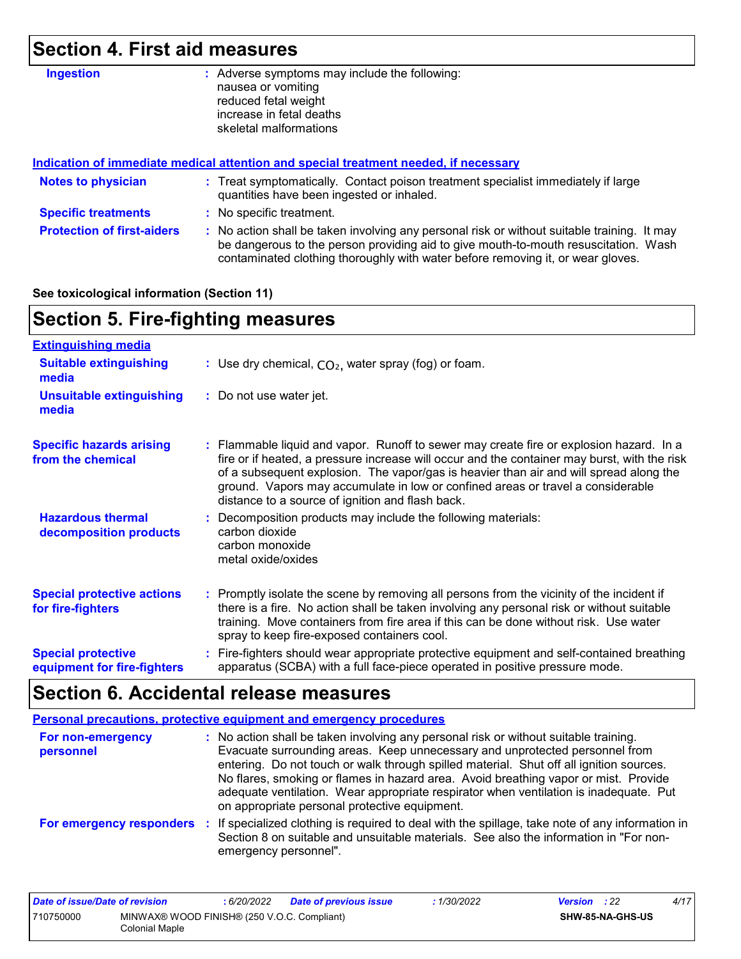# **Section 4. First aid measures**

| <b>Ingestion</b>                  | Adverse symptoms may include the following:<br>÷.<br>nausea or vomiting<br>reduced fetal weight<br>increase in fetal deaths<br>skeletal malformations                                                                                                                 |  |  |  |
|-----------------------------------|-----------------------------------------------------------------------------------------------------------------------------------------------------------------------------------------------------------------------------------------------------------------------|--|--|--|
|                                   | <u>Indication of immediate medical attention and special treatment needed, if necessary</u>                                                                                                                                                                           |  |  |  |
| <b>Notes to physician</b>         | : Treat symptomatically. Contact poison treatment specialist immediately if large<br>quantities have been ingested or inhaled.                                                                                                                                        |  |  |  |
| <b>Specific treatments</b>        | : No specific treatment.                                                                                                                                                                                                                                              |  |  |  |
| <b>Protection of first-aiders</b> | : No action shall be taken involving any personal risk or without suitable training. It may<br>be dangerous to the person providing aid to give mouth-to-mouth resuscitation. Wash<br>contaminated clothing thoroughly with water before removing it, or wear gloves. |  |  |  |

### **See toxicological information (Section 11)**

# **Section 5. Fire-fighting measures**

| <b>Extinguishing media</b>                               |                                                                                                                                                                                                                                                                                                                                                                                                                          |
|----------------------------------------------------------|--------------------------------------------------------------------------------------------------------------------------------------------------------------------------------------------------------------------------------------------------------------------------------------------------------------------------------------------------------------------------------------------------------------------------|
| <b>Suitable extinguishing</b><br>media                   | : Use dry chemical, $CO2$ , water spray (fog) or foam.                                                                                                                                                                                                                                                                                                                                                                   |
| <b>Unsuitable extinguishing</b><br>media                 | : Do not use water jet.                                                                                                                                                                                                                                                                                                                                                                                                  |
| <b>Specific hazards arising</b><br>from the chemical     | : Flammable liquid and vapor. Runoff to sewer may create fire or explosion hazard. In a<br>fire or if heated, a pressure increase will occur and the container may burst, with the risk<br>of a subsequent explosion. The vapor/gas is heavier than air and will spread along the<br>ground. Vapors may accumulate in low or confined areas or travel a considerable<br>distance to a source of ignition and flash back. |
| <b>Hazardous thermal</b><br>decomposition products       | Decomposition products may include the following materials:<br>carbon dioxide<br>carbon monoxide<br>metal oxide/oxides                                                                                                                                                                                                                                                                                                   |
| <b>Special protective actions</b><br>for fire-fighters   | : Promptly isolate the scene by removing all persons from the vicinity of the incident if<br>there is a fire. No action shall be taken involving any personal risk or without suitable<br>training. Move containers from fire area if this can be done without risk. Use water<br>spray to keep fire-exposed containers cool.                                                                                            |
| <b>Special protective</b><br>equipment for fire-fighters | : Fire-fighters should wear appropriate protective equipment and self-contained breathing<br>apparatus (SCBA) with a full face-piece operated in positive pressure mode.                                                                                                                                                                                                                                                 |

# **Section 6. Accidental release measures**

|                                | Personal precautions, protective equipment and emergency procedures                                                                                                                                                                                                                                                                                                                                                                                                                             |
|--------------------------------|-------------------------------------------------------------------------------------------------------------------------------------------------------------------------------------------------------------------------------------------------------------------------------------------------------------------------------------------------------------------------------------------------------------------------------------------------------------------------------------------------|
| For non-emergency<br>personnel | : No action shall be taken involving any personal risk or without suitable training.<br>Evacuate surrounding areas. Keep unnecessary and unprotected personnel from<br>entering. Do not touch or walk through spilled material. Shut off all ignition sources.<br>No flares, smoking or flames in hazard area. Avoid breathing vapor or mist. Provide<br>adequate ventilation. Wear appropriate respirator when ventilation is inadequate. Put<br>on appropriate personal protective equipment. |
| For emergency responders       | If specialized clothing is required to deal with the spillage, take note of any information in<br>÷.<br>Section 8 on suitable and unsuitable materials. See also the information in "For non-<br>emergency personnel".                                                                                                                                                                                                                                                                          |

| Date of issue/Date of revision |                                                               | : 6/20/2022 | Date of previous issue | 1/30/2022 | <b>Version</b> : 22 |                  | 4/17 |
|--------------------------------|---------------------------------------------------------------|-------------|------------------------|-----------|---------------------|------------------|------|
| 710750000                      | MINWAX® WOOD FINISH® (250 V.O.C. Compliant)<br>Colonial Maple |             |                        |           |                     | SHW-85-NA-GHS-US |      |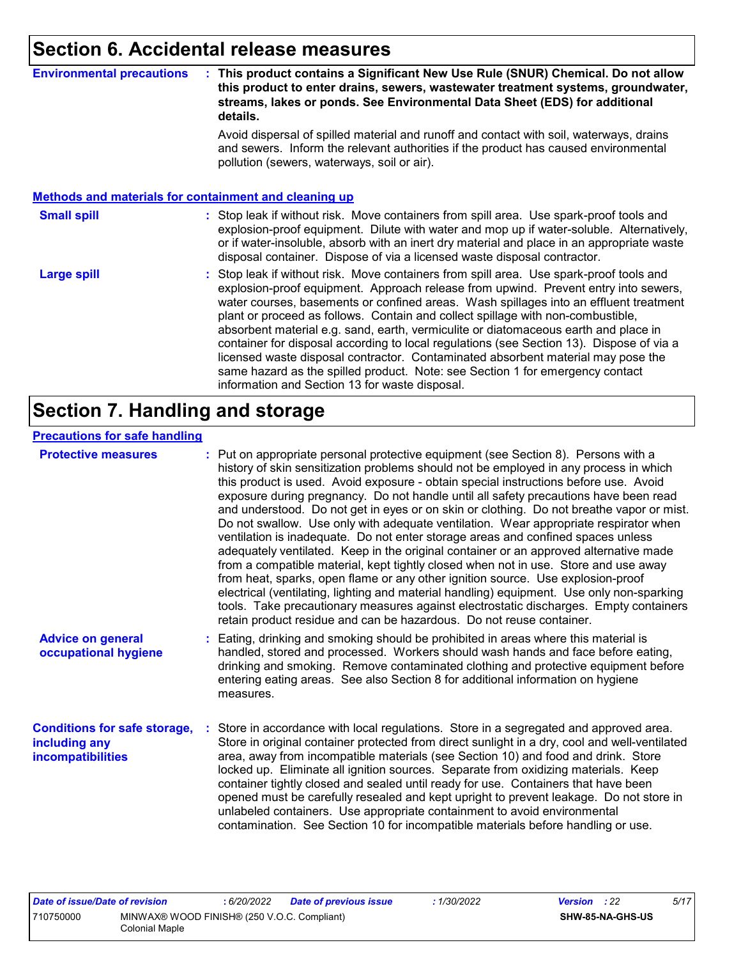### **Section 6. Accidental release measures**

#### **Environmental precautions : This product contains a Significant New Use Rule (SNUR) Chemical. Do not allow this product to enter drains, sewers, wastewater treatment systems, groundwater, streams, lakes or ponds. See Environmental Data Sheet (EDS) for additional details.**

Avoid dispersal of spilled material and runoff and contact with soil, waterways, drains and sewers. Inform the relevant authorities if the product has caused environmental pollution (sewers, waterways, soil or air).

#### **Methods and materials for containment and cleaning up**

#### : Stop leak if without risk. Move containers from spill area. Use spark-proof tools and explosion-proof equipment. Dilute with water and mop up if water-soluble. Alternatively, or if water-insoluble, absorb with an inert dry material and place in an appropriate waste disposal container. Dispose of via a licensed waste disposal contractor. **Small spill :**

Stop leak if without risk. Move containers from spill area. Use spark-proof tools and explosion-proof equipment. Approach release from upwind. Prevent entry into sewers, water courses, basements or confined areas. Wash spillages into an effluent treatment plant or proceed as follows. Contain and collect spillage with non-combustible, absorbent material e.g. sand, earth, vermiculite or diatomaceous earth and place in container for disposal according to local regulations (see Section 13). Dispose of via a licensed waste disposal contractor. Contaminated absorbent material may pose the same hazard as the spilled product. Note: see Section 1 for emergency contact information and Section 13 for waste disposal. **Large spill :**

### **Section 7. Handling and storage**

### **Precautions for safe handling**

| <b>Protective measures</b>                                                       | : Put on appropriate personal protective equipment (see Section 8). Persons with a<br>history of skin sensitization problems should not be employed in any process in which<br>this product is used. Avoid exposure - obtain special instructions before use. Avoid<br>exposure during pregnancy. Do not handle until all safety precautions have been read<br>and understood. Do not get in eyes or on skin or clothing. Do not breathe vapor or mist.<br>Do not swallow. Use only with adequate ventilation. Wear appropriate respirator when<br>ventilation is inadequate. Do not enter storage areas and confined spaces unless<br>adequately ventilated. Keep in the original container or an approved alternative made<br>from a compatible material, kept tightly closed when not in use. Store and use away<br>from heat, sparks, open flame or any other ignition source. Use explosion-proof<br>electrical (ventilating, lighting and material handling) equipment. Use only non-sparking<br>tools. Take precautionary measures against electrostatic discharges. Empty containers<br>retain product residue and can be hazardous. Do not reuse container. |
|----------------------------------------------------------------------------------|----------------------------------------------------------------------------------------------------------------------------------------------------------------------------------------------------------------------------------------------------------------------------------------------------------------------------------------------------------------------------------------------------------------------------------------------------------------------------------------------------------------------------------------------------------------------------------------------------------------------------------------------------------------------------------------------------------------------------------------------------------------------------------------------------------------------------------------------------------------------------------------------------------------------------------------------------------------------------------------------------------------------------------------------------------------------------------------------------------------------------------------------------------------------|
| <b>Advice on general</b><br>occupational hygiene                                 | : Eating, drinking and smoking should be prohibited in areas where this material is<br>handled, stored and processed. Workers should wash hands and face before eating,<br>drinking and smoking. Remove contaminated clothing and protective equipment before<br>entering eating areas. See also Section 8 for additional information on hygiene<br>measures.                                                                                                                                                                                                                                                                                                                                                                                                                                                                                                                                                                                                                                                                                                                                                                                                        |
| <b>Conditions for safe storage,</b><br>including any<br><b>incompatibilities</b> | Store in accordance with local regulations. Store in a segregated and approved area.<br>Store in original container protected from direct sunlight in a dry, cool and well-ventilated<br>area, away from incompatible materials (see Section 10) and food and drink. Store<br>locked up. Eliminate all ignition sources. Separate from oxidizing materials. Keep<br>container tightly closed and sealed until ready for use. Containers that have been<br>opened must be carefully resealed and kept upright to prevent leakage. Do not store in<br>unlabeled containers. Use appropriate containment to avoid environmental<br>contamination. See Section 10 for incompatible materials before handling or use.                                                                                                                                                                                                                                                                                                                                                                                                                                                     |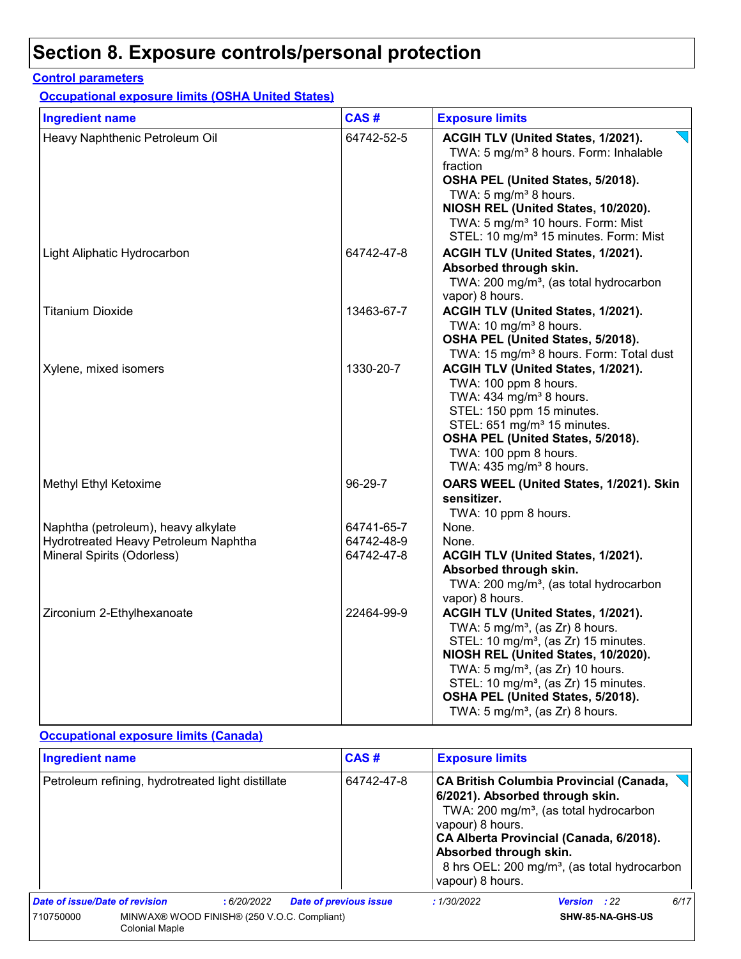### **Control parameters**

**Occupational exposure limits (OSHA United States)**

| <b>Ingredient name</b>               | CAS#       | <b>Exposure limits</b>                                                                                                                                                                                                                                                                                                                                            |
|--------------------------------------|------------|-------------------------------------------------------------------------------------------------------------------------------------------------------------------------------------------------------------------------------------------------------------------------------------------------------------------------------------------------------------------|
| Heavy Naphthenic Petroleum Oil       | 64742-52-5 | ACGIH TLV (United States, 1/2021).<br>TWA: 5 mg/m <sup>3</sup> 8 hours. Form: Inhalable<br>fraction<br>OSHA PEL (United States, 5/2018).<br>TWA: 5 mg/m <sup>3</sup> 8 hours.<br>NIOSH REL (United States, 10/2020).<br>TWA: 5 mg/m <sup>3</sup> 10 hours. Form: Mist<br>STEL: 10 mg/m <sup>3</sup> 15 minutes. Form: Mist                                        |
| Light Aliphatic Hydrocarbon          | 64742-47-8 | ACGIH TLV (United States, 1/2021).<br>Absorbed through skin.<br>TWA: 200 mg/m <sup>3</sup> , (as total hydrocarbon<br>vapor) 8 hours.                                                                                                                                                                                                                             |
| <b>Titanium Dioxide</b>              | 13463-67-7 | ACGIH TLV (United States, 1/2021).<br>TWA: 10 mg/m <sup>3</sup> 8 hours.<br>OSHA PEL (United States, 5/2018).<br>TWA: 15 mg/m <sup>3</sup> 8 hours. Form: Total dust                                                                                                                                                                                              |
| Xylene, mixed isomers                | 1330-20-7  | ACGIH TLV (United States, 1/2021).<br>TWA: 100 ppm 8 hours.<br>TWA: $434$ mg/m <sup>3</sup> 8 hours.<br>STEL: 150 ppm 15 minutes.<br>STEL: 651 mg/m <sup>3</sup> 15 minutes.<br>OSHA PEL (United States, 5/2018).<br>TWA: 100 ppm 8 hours.<br>TWA: 435 mg/m <sup>3</sup> 8 hours.                                                                                 |
| Methyl Ethyl Ketoxime                | 96-29-7    | OARS WEEL (United States, 1/2021). Skin<br>sensitizer.<br>TWA: 10 ppm 8 hours.                                                                                                                                                                                                                                                                                    |
| Naphtha (petroleum), heavy alkylate  | 64741-65-7 | None.                                                                                                                                                                                                                                                                                                                                                             |
| Hydrotreated Heavy Petroleum Naphtha | 64742-48-9 | None.                                                                                                                                                                                                                                                                                                                                                             |
| Mineral Spirits (Odorless)           | 64742-47-8 | ACGIH TLV (United States, 1/2021).<br>Absorbed through skin.<br>TWA: 200 mg/m <sup>3</sup> , (as total hydrocarbon<br>vapor) 8 hours.                                                                                                                                                                                                                             |
| Zirconium 2-Ethylhexanoate           | 22464-99-9 | ACGIH TLV (United States, 1/2021).<br>TWA: $5 \text{ mg/m}^3$ , (as Zr) 8 hours.<br>STEL: 10 mg/m <sup>3</sup> , (as Zr) 15 minutes.<br>NIOSH REL (United States, 10/2020).<br>TWA: $5 \text{ mg/m}^3$ , (as Zr) 10 hours.<br>STEL: 10 mg/m <sup>3</sup> , (as Zr) 15 minutes.<br>OSHA PEL (United States, 5/2018).<br>TWA: $5 \text{ mg/m}^3$ , (as Zr) 8 hours. |

### **Occupational exposure limits (Canada)**

| <b>Ingredient name</b>                            |                                                                      | CAS#       | <b>Exposure limits</b>        |                                                                |                                                                                                                                                                                                                                                |                     |      |
|---------------------------------------------------|----------------------------------------------------------------------|------------|-------------------------------|----------------------------------------------------------------|------------------------------------------------------------------------------------------------------------------------------------------------------------------------------------------------------------------------------------------------|---------------------|------|
| Petroleum refining, hydrotreated light distillate |                                                                      |            | 64742-47-8                    | vapour) 8 hours.<br>Absorbed through skin.<br>vapour) 8 hours. | <b>CA British Columbia Provincial (Canada,</b><br>6/2021). Absorbed through skin.<br>TWA: 200 mg/m <sup>3</sup> , (as total hydrocarbon<br>CA Alberta Provincial (Canada, 6/2018).<br>8 hrs OEL: 200 mg/m <sup>3</sup> , (as total hydrocarbon |                     |      |
| Date of issue/Date of revision                    |                                                                      | :6/20/2022 | <b>Date of previous issue</b> |                                                                | :1/30/2022                                                                                                                                                                                                                                     | <b>Version</b> : 22 | 6/17 |
| 710750000                                         | MINWAX® WOOD FINISH® (250 V.O.C. Compliant)<br><b>Colonial Maple</b> |            |                               |                                                                |                                                                                                                                                                                                                                                | SHW-85-NA-GHS-US    |      |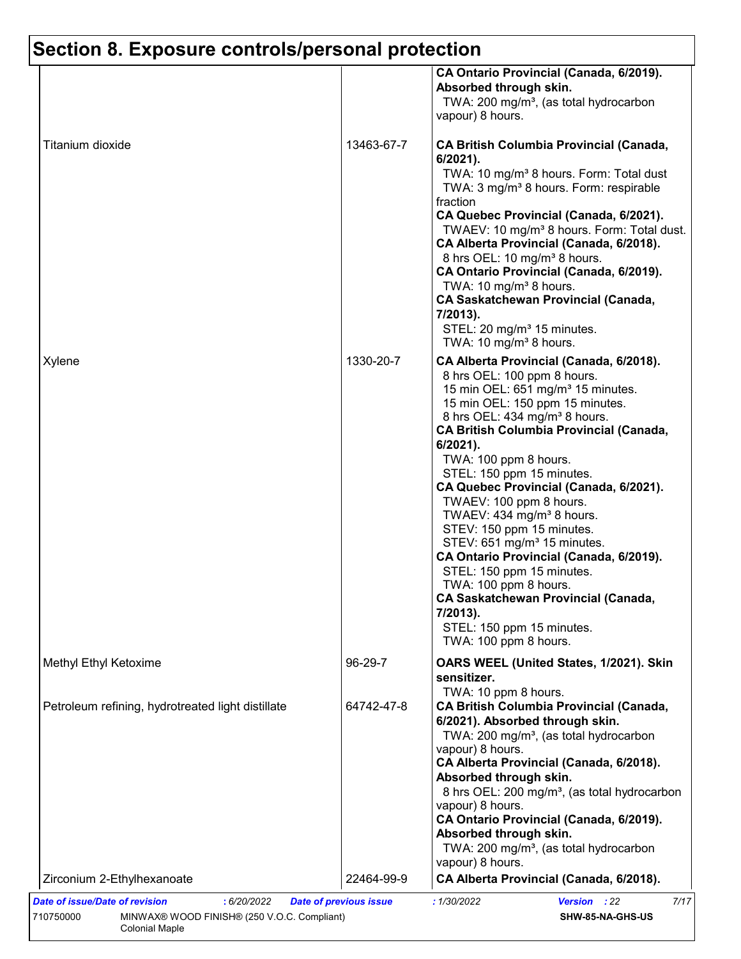|                                                   |            | CA Ontario Provincial (Canada, 6/2019).<br>Absorbed through skin.<br>TWA: 200 mg/m <sup>3</sup> , (as total hydrocarbon<br>vapour) 8 hours.                                                                                                                                                                                                                                                                                                                                                                                                                                                                                                                                                                                        |
|---------------------------------------------------|------------|------------------------------------------------------------------------------------------------------------------------------------------------------------------------------------------------------------------------------------------------------------------------------------------------------------------------------------------------------------------------------------------------------------------------------------------------------------------------------------------------------------------------------------------------------------------------------------------------------------------------------------------------------------------------------------------------------------------------------------|
| Titanium dioxide                                  | 13463-67-7 | <b>CA British Columbia Provincial (Canada,</b><br>$6/2021$ ).<br>TWA: 10 mg/m <sup>3</sup> 8 hours. Form: Total dust<br>TWA: 3 mg/m <sup>3</sup> 8 hours. Form: respirable<br>fraction<br>CA Quebec Provincial (Canada, 6/2021).<br>TWAEV: 10 mg/m <sup>3</sup> 8 hours. Form: Total dust.<br>CA Alberta Provincial (Canada, 6/2018).<br>8 hrs OEL: 10 mg/m <sup>3</sup> 8 hours.<br>CA Ontario Provincial (Canada, 6/2019).<br>TWA: 10 mg/m <sup>3</sup> 8 hours.<br><b>CA Saskatchewan Provincial (Canada,</b><br>7/2013).<br>STEL: 20 mg/m <sup>3</sup> 15 minutes.<br>TWA: 10 mg/m <sup>3</sup> 8 hours.                                                                                                                       |
| Xylene                                            | 1330-20-7  | CA Alberta Provincial (Canada, 6/2018).<br>8 hrs OEL: 100 ppm 8 hours.<br>15 min OEL: 651 mg/m <sup>3</sup> 15 minutes.<br>15 min OEL: 150 ppm 15 minutes.<br>8 hrs OEL: 434 mg/m <sup>3</sup> 8 hours.<br><b>CA British Columbia Provincial (Canada,</b><br>6/2021).<br>TWA: 100 ppm 8 hours.<br>STEL: 150 ppm 15 minutes.<br>CA Quebec Provincial (Canada, 6/2021).<br>TWAEV: 100 ppm 8 hours.<br>TWAEV: 434 mg/m <sup>3</sup> 8 hours.<br>STEV: 150 ppm 15 minutes.<br>STEV: 651 mg/m <sup>3</sup> 15 minutes.<br>CA Ontario Provincial (Canada, 6/2019).<br>STEL: 150 ppm 15 minutes.<br>TWA: 100 ppm 8 hours.<br><b>CA Saskatchewan Provincial (Canada,</b><br>7/2013).<br>STEL: 150 ppm 15 minutes.<br>TWA: 100 ppm 8 hours. |
| Methyl Ethyl Ketoxime                             | 96-29-7    | OARS WEEL (United States, 1/2021). Skin<br>sensitizer.                                                                                                                                                                                                                                                                                                                                                                                                                                                                                                                                                                                                                                                                             |
| Petroleum refining, hydrotreated light distillate | 64742-47-8 | TWA: 10 ppm 8 hours.<br><b>CA British Columbia Provincial (Canada,</b><br>6/2021). Absorbed through skin.<br>TWA: 200 mg/m <sup>3</sup> , (as total hydrocarbon<br>vapour) 8 hours.<br>CA Alberta Provincial (Canada, 6/2018).<br>Absorbed through skin.<br>8 hrs OEL: 200 mg/m <sup>3</sup> , (as total hydrocarbon<br>vapour) 8 hours.<br>CA Ontario Provincial (Canada, 6/2019).<br>Absorbed through skin.<br>TWA: 200 mg/m <sup>3</sup> , (as total hydrocarbon<br>vapour) 8 hours.                                                                                                                                                                                                                                            |
|                                                   |            |                                                                                                                                                                                                                                                                                                                                                                                                                                                                                                                                                                                                                                                                                                                                    |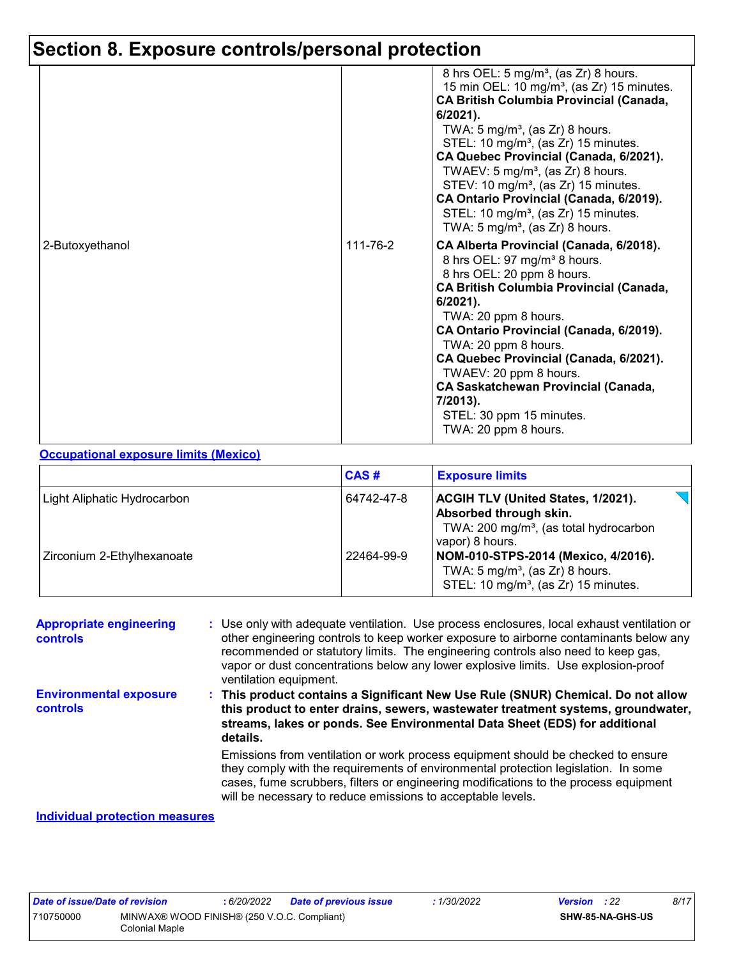| 2-Butoxyethanol | 111-76-2 | 8 hrs OEL: 5 mg/m <sup>3</sup> , (as Zr) 8 hours.<br>15 min OEL: 10 mg/m <sup>3</sup> , (as Zr) 15 minutes.<br><b>CA British Columbia Provincial (Canada,</b><br>$6/2021$ ).<br>TWA: $5 \text{ mg/m}^3$ , (as Zr) 8 hours.<br>STEL: 10 mg/m <sup>3</sup> , (as Zr) 15 minutes.<br>CA Quebec Provincial (Canada, 6/2021).<br>TWAEV: $5 \text{ mg/m}^3$ , (as Zr) 8 hours.<br>STEV: 10 mg/m <sup>3</sup> , (as Zr) 15 minutes.<br>CA Ontario Provincial (Canada, 6/2019).<br>STEL: 10 mg/m <sup>3</sup> , (as Zr) 15 minutes.<br>TWA: 5 mg/m <sup>3</sup> , (as Zr) 8 hours.<br>CA Alberta Provincial (Canada, 6/2018). |
|-----------------|----------|-----------------------------------------------------------------------------------------------------------------------------------------------------------------------------------------------------------------------------------------------------------------------------------------------------------------------------------------------------------------------------------------------------------------------------------------------------------------------------------------------------------------------------------------------------------------------------------------------------------------------|
|                 |          | 8 hrs OEL: 97 mg/m <sup>3</sup> 8 hours.<br>8 hrs OEL: 20 ppm 8 hours.<br><b>CA British Columbia Provincial (Canada,</b><br>$6/2021$ ).<br>TWA: 20 ppm 8 hours.<br>CA Ontario Provincial (Canada, 6/2019).<br>TWA: 20 ppm 8 hours.<br>CA Quebec Provincial (Canada, 6/2021).<br>TWAEV: 20 ppm 8 hours.<br><b>CA Saskatchewan Provincial (Canada,</b><br>7/2013).<br>STEL: 30 ppm 15 minutes.<br>TWA: 20 ppm 8 hours.                                                                                                                                                                                                  |

### **Occupational exposure limits (Mexico)**

|                             | CAS#       | <b>Exposure limits</b>                                                                                                                       |
|-----------------------------|------------|----------------------------------------------------------------------------------------------------------------------------------------------|
| Light Aliphatic Hydrocarbon | 64742-47-8 | <b>ACGIH TLV (United States, 1/2021).</b><br>Absorbed through skin.<br>TWA: 200 mg/m <sup>3</sup> , (as total hydrocarbon<br>vapor) 8 hours. |
| Zirconium 2-Ethylhexanoate  | 22464-99-9 | NOM-010-STPS-2014 (Mexico, 4/2016).<br>TWA: $5 \text{ mg/m}^3$ , (as Zr) 8 hours.<br>STEL: 10 mg/m <sup>3</sup> , (as Zr) 15 minutes.        |

| <b>Appropriate engineering</b><br>controls       | : Use only with adequate ventilation. Use process enclosures, local exhaust ventilation or<br>other engineering controls to keep worker exposure to airborne contaminants below any<br>recommended or statutory limits. The engineering controls also need to keep gas,<br>vapor or dust concentrations below any lower explosive limits. Use explosion-proof<br>ventilation equipment. |
|--------------------------------------------------|-----------------------------------------------------------------------------------------------------------------------------------------------------------------------------------------------------------------------------------------------------------------------------------------------------------------------------------------------------------------------------------------|
| <b>Environmental exposure</b><br><b>controls</b> | This product contains a Significant New Use Rule (SNUR) Chemical. Do not allow<br>this product to enter drains, sewers, wastewater treatment systems, groundwater,<br>streams, lakes or ponds. See Environmental Data Sheet (EDS) for additional<br>details.                                                                                                                            |
|                                                  | Emissions from ventilation or work process equipment should be checked to ensure<br>they comply with the requirements of environmental protection legislation. In some<br>cases, fume scrubbers, filters or engineering modifications to the process equipment<br>will be necessary to reduce emissions to acceptable levels.                                                           |
| Individual protection measures                   |                                                                                                                                                                                                                                                                                                                                                                                         |

#### **Individual protection measures**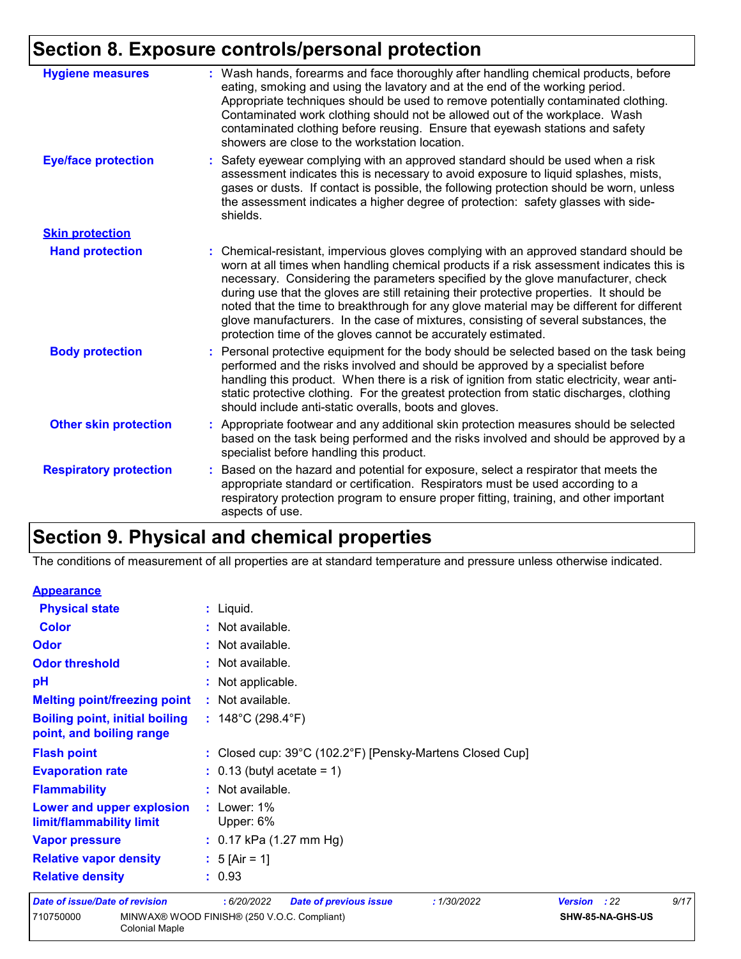| <b>Hygiene measures</b>       | : Wash hands, forearms and face thoroughly after handling chemical products, before<br>eating, smoking and using the lavatory and at the end of the working period.<br>Appropriate techniques should be used to remove potentially contaminated clothing.<br>Contaminated work clothing should not be allowed out of the workplace. Wash<br>contaminated clothing before reusing. Ensure that eyewash stations and safety<br>showers are close to the workstation location.                                                                                                                                            |
|-------------------------------|------------------------------------------------------------------------------------------------------------------------------------------------------------------------------------------------------------------------------------------------------------------------------------------------------------------------------------------------------------------------------------------------------------------------------------------------------------------------------------------------------------------------------------------------------------------------------------------------------------------------|
| <b>Eye/face protection</b>    | : Safety eyewear complying with an approved standard should be used when a risk<br>assessment indicates this is necessary to avoid exposure to liquid splashes, mists,<br>gases or dusts. If contact is possible, the following protection should be worn, unless<br>the assessment indicates a higher degree of protection: safety glasses with side-<br>shields.                                                                                                                                                                                                                                                     |
| <b>Skin protection</b>        |                                                                                                                                                                                                                                                                                                                                                                                                                                                                                                                                                                                                                        |
| <b>Hand protection</b>        | : Chemical-resistant, impervious gloves complying with an approved standard should be<br>worn at all times when handling chemical products if a risk assessment indicates this is<br>necessary. Considering the parameters specified by the glove manufacturer, check<br>during use that the gloves are still retaining their protective properties. It should be<br>noted that the time to breakthrough for any glove material may be different for different<br>glove manufacturers. In the case of mixtures, consisting of several substances, the<br>protection time of the gloves cannot be accurately estimated. |
| <b>Body protection</b>        | : Personal protective equipment for the body should be selected based on the task being<br>performed and the risks involved and should be approved by a specialist before<br>handling this product. When there is a risk of ignition from static electricity, wear anti-<br>static protective clothing. For the greatest protection from static discharges, clothing<br>should include anti-static overalls, boots and gloves.                                                                                                                                                                                         |
| <b>Other skin protection</b>  | : Appropriate footwear and any additional skin protection measures should be selected<br>based on the task being performed and the risks involved and should be approved by a<br>specialist before handling this product.                                                                                                                                                                                                                                                                                                                                                                                              |
| <b>Respiratory protection</b> | : Based on the hazard and potential for exposure, select a respirator that meets the<br>appropriate standard or certification. Respirators must be used according to a<br>respiratory protection program to ensure proper fitting, training, and other important<br>aspects of use.                                                                                                                                                                                                                                                                                                                                    |

# **Section 9. Physical and chemical properties**

The conditions of measurement of all properties are at standard temperature and pressure unless otherwise indicated.

| <b>Appearance</b>                                                 |                                                            |                       |      |
|-------------------------------------------------------------------|------------------------------------------------------------|-----------------------|------|
| <b>Physical state</b>                                             | : Liquid.                                                  |                       |      |
| <b>Color</b>                                                      | : Not available.                                           |                       |      |
| <b>Odor</b>                                                       | : Not available.                                           |                       |      |
| <b>Odor threshold</b>                                             | : Not available.                                           |                       |      |
| рH                                                                | : Not applicable.                                          |                       |      |
| <b>Melting point/freezing point</b>                               | : Not available.                                           |                       |      |
| <b>Boiling point, initial boiling</b><br>point, and boiling range | : $148^{\circ}$ C (298.4 $^{\circ}$ F)                     |                       |      |
| <b>Flash point</b>                                                | : Closed cup: 39°C (102.2°F) [Pensky-Martens Closed Cup]   |                       |      |
| <b>Evaporation rate</b>                                           | $\therefore$ 0.13 (butyl acetate = 1)                      |                       |      |
| <b>Flammability</b>                                               | : Not available.                                           |                       |      |
| Lower and upper explosion<br>limit/flammability limit             | $:$ Lower: 1%<br>Upper: 6%                                 |                       |      |
| <b>Vapor pressure</b>                                             | : $0.17$ kPa (1.27 mm Hg)                                  |                       |      |
| <b>Relative vapor density</b>                                     | : $5$ [Air = 1]                                            |                       |      |
| <b>Relative density</b>                                           | : 0.93                                                     |                       |      |
| Date of issue/Date of revision                                    | : 6/20/2022<br><b>Date of previous issue</b><br>:1/30/2022 | <b>Version</b><br>:22 | 9/17 |
| 710750000<br><b>Colonial Maple</b>                                | MINWAX® WOOD FINISH® (250 V.O.C. Compliant)                | SHW-85-NA-GHS-US      |      |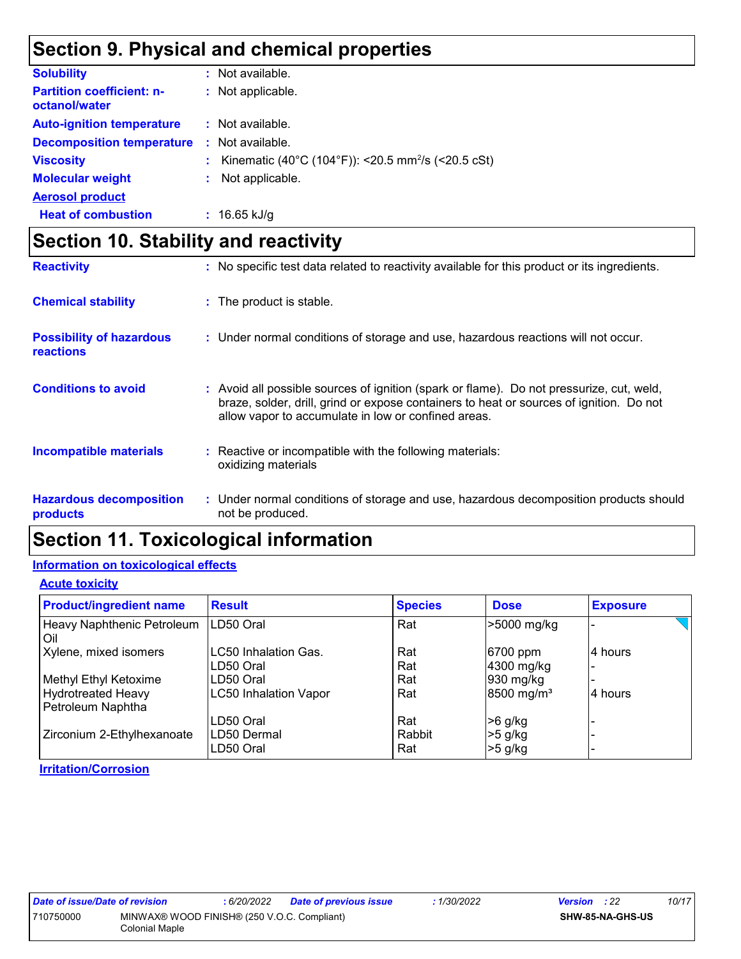## **Section 9. Physical and chemical properties**

| <b>Solubility</b>                                 | : Not available.                                                 |
|---------------------------------------------------|------------------------------------------------------------------|
| <b>Partition coefficient: n-</b><br>octanol/water | : Not applicable.                                                |
| <b>Auto-ignition temperature</b>                  | : Not available.                                                 |
| <b>Decomposition temperature</b>                  | : Not available.                                                 |
| <b>Viscosity</b>                                  | : Kinematic (40°C (104°F)): <20.5 mm <sup>2</sup> /s (<20.5 cSt) |
| <b>Molecular weight</b>                           | : Not applicable.                                                |
| <b>Aerosol product</b>                            |                                                                  |
| <b>Heat of combustion</b>                         | $: 16.65$ kJ/g                                                   |

# **Section 10. Stability and reactivity**

| <b>Reactivity</b>                                   | : No specific test data related to reactivity available for this product or its ingredients.                                                                                                                                                   |
|-----------------------------------------------------|------------------------------------------------------------------------------------------------------------------------------------------------------------------------------------------------------------------------------------------------|
| <b>Chemical stability</b>                           | : The product is stable.                                                                                                                                                                                                                       |
| <b>Possibility of hazardous</b><br><b>reactions</b> | : Under normal conditions of storage and use, hazardous reactions will not occur.                                                                                                                                                              |
| <b>Conditions to avoid</b>                          | Avoid all possible sources of ignition (spark or flame). Do not pressurize, cut, weld,<br>t.<br>braze, solder, drill, grind or expose containers to heat or sources of ignition. Do not<br>allow vapor to accumulate in low or confined areas. |
| <b>Incompatible materials</b>                       | Reactive or incompatible with the following materials:<br>oxidizing materials                                                                                                                                                                  |
| <b>Hazardous decomposition</b><br>products          | : Under normal conditions of storage and use, hazardous decomposition products should<br>not be produced.                                                                                                                                      |

### **Section 11. Toxicological information**

### **Information on toxicological effects**

**Acute toxicity**

| <b>Product/ingredient name</b>                 | <b>Result</b>                | <b>Species</b> | <b>Dose</b>            | <b>Exposure</b> |
|------------------------------------------------|------------------------------|----------------|------------------------|-----------------|
| Heavy Naphthenic Petroleum<br>Oil              | LD50 Oral                    | Rat            | >5000 mg/kg            |                 |
| Xylene, mixed isomers                          | LC50 Inhalation Gas.         | Rat            | 6700 ppm               | 4 hours         |
|                                                | LD50 Oral                    | Rat            | 4300 mg/kg             |                 |
| Methyl Ethyl Ketoxime                          | LD50 Oral                    | Rat            | 930 mg/kg              |                 |
| <b>Hydrotreated Heavy</b><br>Petroleum Naphtha | <b>LC50 Inhalation Vapor</b> | Rat            | 8500 mg/m <sup>3</sup> | 4 hours         |
|                                                | LD50 Oral                    | Rat            | >6 g/kg                |                 |
| Zirconium 2-Ethylhexanoate                     | LD50 Dermal<br>LD50 Oral     | Rabbit<br>Rat  | >5 g/kg<br>$>5$ g/kg   |                 |

### **Irritation/Corrosion**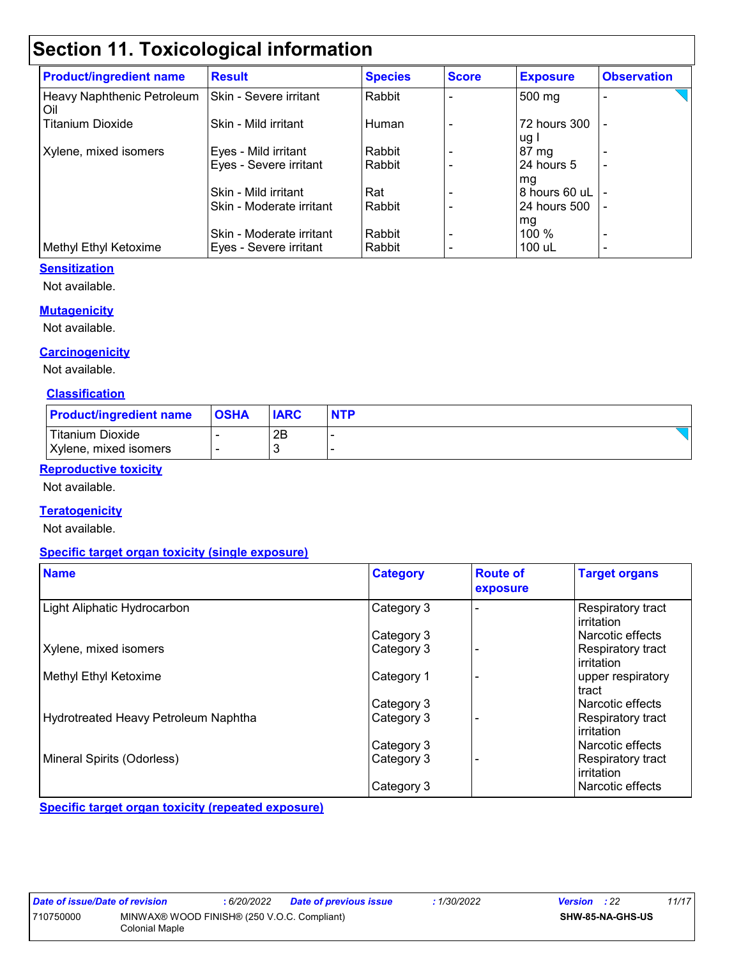# **Section 11. Toxicological information**

| <b>Product/ingredient name</b>    | <b>Result</b>            | <b>Species</b> | <b>Score</b> | <b>Exposure</b>      | <b>Observation</b> |
|-----------------------------------|--------------------------|----------------|--------------|----------------------|--------------------|
| Heavy Naphthenic Petroleum<br>Oil | Skin - Severe irritant   | Rabbit         |              | 500 mg               |                    |
| <b>Titanium Dioxide</b>           | Skin - Mild irritant     | Human          |              | 72 hours 300<br>ug I | $\blacksquare$     |
| Xylene, mixed isomers             | Eyes - Mild irritant     | Rabbit         |              | 87 mg                |                    |
|                                   | Eyes - Severe irritant   | Rabbit         |              | 24 hours 5<br>mg     |                    |
|                                   | Skin - Mild irritant     | Rat            |              | 8 hours 60 uL        |                    |
|                                   | Skin - Moderate irritant | Rabbit         |              | 24 hours 500         |                    |
|                                   |                          |                |              | mg                   |                    |
|                                   | Skin - Moderate irritant | Rabbit         |              | $100\%$              | ٠                  |
| Methyl Ethyl Ketoxime             | Eyes - Severe irritant   | Rabbit         |              | 100 uL               |                    |

### **Sensitization**

Not available.

### **Mutagenicity**

Not available.

### **Carcinogenicity**

Not available.

### **Classification**

| <b>Product/ingredient name</b> | <b>OSHA</b> | <b>IARC</b> | <b>NTP</b> |
|--------------------------------|-------------|-------------|------------|
| <b>Titanium Dioxide</b>        |             | 2B          |            |
| Xylene, mixed isomers          |             |             |            |

### **Reproductive toxicity**

Not available.

### **Teratogenicity**

Not available.

### **Specific target organ toxicity (single exposure)**

| <b>Name</b>                          | <b>Category</b> | <b>Route of</b><br>exposure | <b>Target organs</b>                   |
|--------------------------------------|-----------------|-----------------------------|----------------------------------------|
| Light Aliphatic Hydrocarbon          | Category 3      |                             | Respiratory tract<br>irritation        |
|                                      | Category 3      |                             | Narcotic effects                       |
| Xylene, mixed isomers                | Category 3      |                             | Respiratory tract<br>irritation        |
| Methyl Ethyl Ketoxime                | Category 1      |                             | upper respiratory<br>tract             |
|                                      | Category 3      |                             | Narcotic effects                       |
| Hydrotreated Heavy Petroleum Naphtha | Category 3      |                             | Respiratory tract<br><b>irritation</b> |
|                                      | Category 3      |                             | l Narcotic effects                     |
| Mineral Spirits (Odorless)           | Category 3      |                             | Respiratory tract<br>irritation        |
|                                      | Category 3      |                             | l Narcotic effects                     |

**Specific target organ toxicity (repeated exposure)**

| Date of issue/Date of revision                           |                | 6/20/2022 | <b>Date of previous issue</b> | 1/30/2022               | <b>Version</b> : 22 | 11/17 |
|----------------------------------------------------------|----------------|-----------|-------------------------------|-------------------------|---------------------|-------|
| MINWAX® WOOD FINISH® (250 V.O.C. Compliant)<br>710750000 |                |           |                               | <b>SHW-85-NA-GHS-US</b> |                     |       |
|                                                          | Colonial Maple |           |                               |                         |                     |       |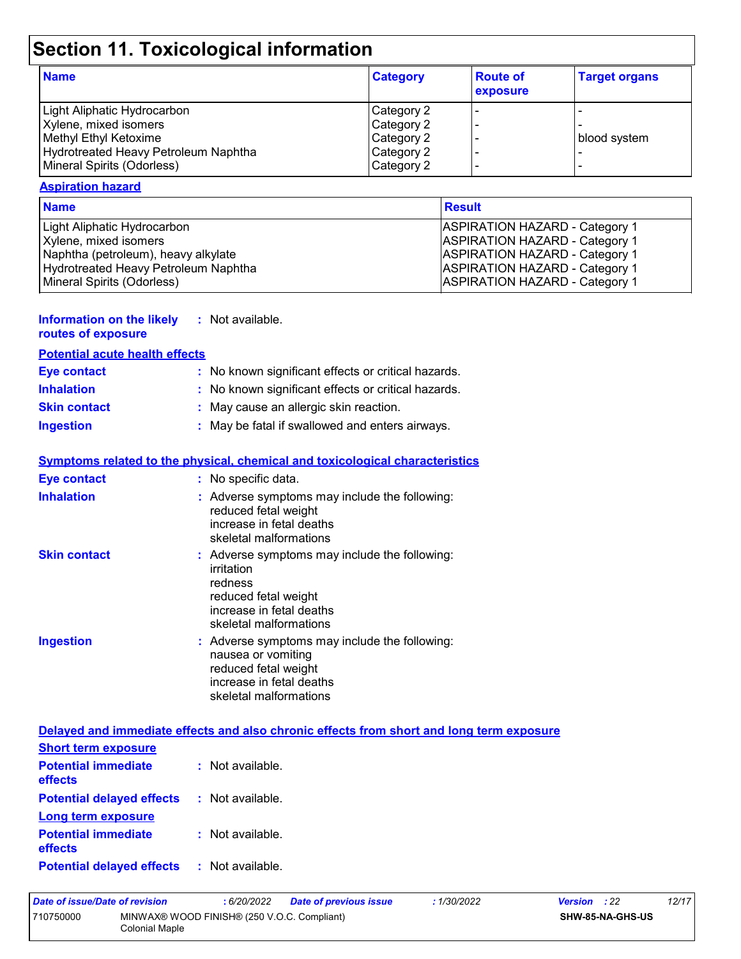# **Section 11. Toxicological information**

| <b>Name</b>                          | <b>Category</b> | <b>Route of</b><br>exposure | <b>Target organs</b> |
|--------------------------------------|-----------------|-----------------------------|----------------------|
| Light Aliphatic Hydrocarbon          | Category 2      |                             |                      |
| Xylene, mixed isomers                | Category 2      |                             |                      |
| Methyl Ethyl Ketoxime                | Category 2      |                             | blood system         |
| Hydrotreated Heavy Petroleum Naphtha | Category 2      |                             |                      |
| Mineral Spirits (Odorless)           | Category 2      |                             |                      |

### **Aspiration hazard**

| <b>Name</b>                          | <b>Result</b>                         |
|--------------------------------------|---------------------------------------|
| Light Aliphatic Hydrocarbon          | <b>ASPIRATION HAZARD - Category 1</b> |
| Xylene, mixed isomers                | <b>ASPIRATION HAZARD - Category 1</b> |
| Naphtha (petroleum), heavy alkylate  | <b>ASPIRATION HAZARD - Category 1</b> |
| Hydrotreated Heavy Petroleum Naphtha | <b>ASPIRATION HAZARD - Category 1</b> |
| Mineral Spirits (Odorless)           | <b>ASPIRATION HAZARD - Category 1</b> |

| <b>Information on the likely</b> |  | Not available. |
|----------------------------------|--|----------------|
|----------------------------------|--|----------------|

| routes of exposure                    |
|---------------------------------------|
| <b>Potential acute health effects</b> |

| <b>Eye contact</b>  | : No known significant effects or critical hazards. |
|---------------------|-----------------------------------------------------|
| <b>Inhalation</b>   | : No known significant effects or critical hazards. |
| <b>Skin contact</b> | : May cause an allergic skin reaction.              |
| <b>Ingestion</b>    | : May be fatal if swallowed and enters airways.     |

|                     | <b>Symptoms related to the physical, chemical and toxicological characteristics</b>                                                                  |
|---------------------|------------------------------------------------------------------------------------------------------------------------------------------------------|
| <b>Eye contact</b>  | : No specific data.                                                                                                                                  |
| <b>Inhalation</b>   | : Adverse symptoms may include the following:<br>reduced fetal weight<br>increase in fetal deaths<br>skeletal malformations                          |
| <b>Skin contact</b> | : Adverse symptoms may include the following:<br>irritation<br>redness<br>reduced fetal weight<br>increase in fetal deaths<br>skeletal malformations |
| <b>Ingestion</b>    | : Adverse symptoms may include the following:<br>nausea or vomiting<br>reduced fetal weight<br>increase in fetal deaths<br>skeletal malformations    |

|                                                        | Delayed and immediate effects and also chronic effects from short and long term exposure |
|--------------------------------------------------------|------------------------------------------------------------------------------------------|
| <b>Short term exposure</b>                             |                                                                                          |
| <b>Potential immediate : Not available.</b><br>effects |                                                                                          |
| <b>Potential delayed effects : Not available.</b>      |                                                                                          |
| Long term exposure                                     |                                                                                          |
| <b>Potential immediate : Not available.</b><br>effects |                                                                                          |
|                                                        |                                                                                          |

| Date of issue/Date of revision |                                                               | : 6/20/2022 | <b>Date of previous issue</b> | : 1/30/2022 | <b>Version</b> : 22     |  | 12/17 |
|--------------------------------|---------------------------------------------------------------|-------------|-------------------------------|-------------|-------------------------|--|-------|
| 710750000                      | MINWAX® WOOD FINISH® (250 V.O.C. Compliant)<br>Colonial Maple |             |                               |             | <b>SHW-85-NA-GHS-US</b> |  |       |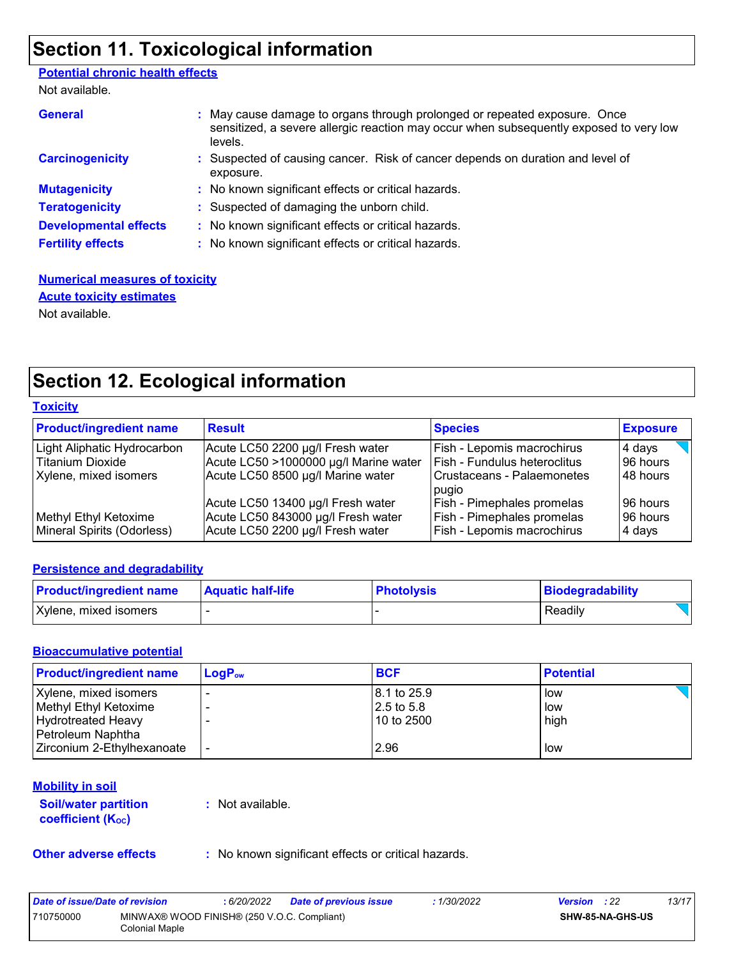## **Section 11. Toxicological information**

### **Potential chronic health effects**

Not available.

| <b>General</b>               | : May cause damage to organs through prolonged or repeated exposure. Once<br>sensitized, a severe allergic reaction may occur when subsequently exposed to very low<br>levels. |
|------------------------------|--------------------------------------------------------------------------------------------------------------------------------------------------------------------------------|
| <b>Carcinogenicity</b>       | : Suspected of causing cancer. Risk of cancer depends on duration and level of<br>exposure.                                                                                    |
| <b>Mutagenicity</b>          | : No known significant effects or critical hazards.                                                                                                                            |
| <b>Teratogenicity</b>        | : Suspected of damaging the unborn child.                                                                                                                                      |
| <b>Developmental effects</b> | : No known significant effects or critical hazards.                                                                                                                            |
| <b>Fertility effects</b>     | : No known significant effects or critical hazards.                                                                                                                            |

### **Numerical measures of toxicity** Not available. **Acute toxicity estimates**

# **Section 12. Ecological information**

### **Toxicity**

| <b>Product/ingredient name</b>                      | <b>Result</b>                                                          | <b>Species</b>                                           | <b>Exposure</b>    |
|-----------------------------------------------------|------------------------------------------------------------------------|----------------------------------------------------------|--------------------|
| Light Aliphatic Hydrocarbon                         | Acute LC50 2200 µg/l Fresh water                                       | Fish - Lepomis macrochirus                               | 4 days             |
| <b>Titanium Dioxide</b>                             | Acute LC50 >1000000 µg/l Marine water                                  | <b>Fish - Fundulus heteroclitus</b>                      | 96 hours           |
| Xylene, mixed isomers                               | Acute LC50 8500 µg/l Marine water                                      | Crustaceans - Palaemonetes<br>pugio                      | 48 hours           |
|                                                     | Acute LC50 13400 µg/l Fresh water                                      | Fish - Pimephales promelas                               | 196 hours          |
| Methyl Ethyl Ketoxime<br>Mineral Spirits (Odorless) | Acute LC50 843000 µg/l Fresh water<br>Acute LC50 2200 µg/l Fresh water | Fish - Pimephales promelas<br>Fish - Lepomis macrochirus | 96 hours<br>4 days |

### **Persistence and degradability**

| <b>Product/ingredient name</b> | <b>Aquatic half-life</b> | <b>Photolysis</b> | Biodegradability |
|--------------------------------|--------------------------|-------------------|------------------|
| Xylene, mixed isomers          |                          |                   | Readily          |

### **Bioaccumulative potential**

| <b>Product/ingredient name</b> | $LogP_{ow}$ | <b>BCF</b>   | <b>Potential</b> |
|--------------------------------|-------------|--------------|------------------|
| Xylene, mixed isomers          |             | 8.1 to 25.9  | low              |
| Methyl Ethyl Ketoxime          |             | l 2.5 to 5.8 | low              |
| <b>Hydrotreated Heavy</b>      |             | 10 to 2500   | high             |
| Petroleum Naphtha              |             |              |                  |
| Zirconium 2-Ethylhexanoate     |             | 2.96         | low              |

### **Mobility in soil**

#### **Soil/water partition coefficient (KOC)**

**:** Not available.

**Other adverse effects** : No known significant effects or critical hazards.

| Date of issue/Date of revision |                                                               | : 6/20/2022 | <b>Date of previous issue</b> | 1/30/2022 | <b>Version</b> : 22 |                         | 13/17 |
|--------------------------------|---------------------------------------------------------------|-------------|-------------------------------|-----------|---------------------|-------------------------|-------|
| 710750000                      | MINWAX® WOOD FINISH® (250 V.O.C. Compliant)<br>Colonial Maple |             |                               |           |                     | <b>SHW-85-NA-GHS-US</b> |       |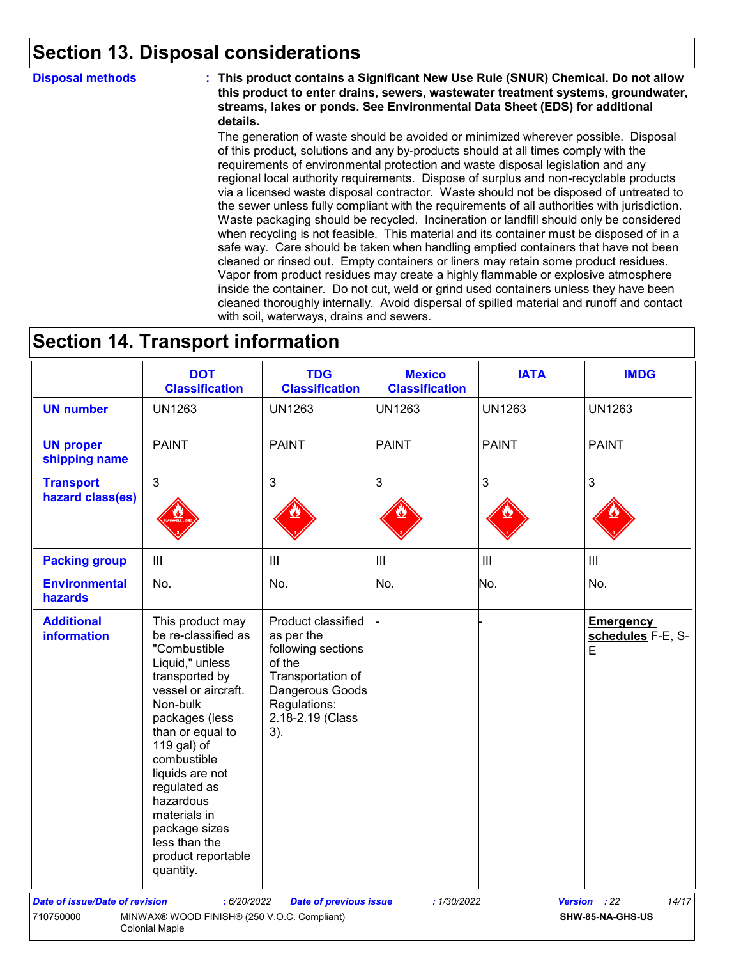### **Section 13. Disposal considerations**

**Disposal methods : This product contains a Significant New Use Rule (SNUR) Chemical. Do not allow this product to enter drains, sewers, wastewater treatment systems, groundwater, streams, lakes or ponds. See Environmental Data Sheet (EDS) for additional details.**

> The generation of waste should be avoided or minimized wherever possible. Disposal of this product, solutions and any by-products should at all times comply with the requirements of environmental protection and waste disposal legislation and any regional local authority requirements. Dispose of surplus and non-recyclable products via a licensed waste disposal contractor. Waste should not be disposed of untreated to the sewer unless fully compliant with the requirements of all authorities with jurisdiction. Waste packaging should be recycled. Incineration or landfill should only be considered when recycling is not feasible. This material and its container must be disposed of in a safe way. Care should be taken when handling emptied containers that have not been cleaned or rinsed out. Empty containers or liners may retain some product residues. Vapor from product residues may create a highly flammable or explosive atmosphere inside the container. Do not cut, weld or grind used containers unless they have been cleaned thoroughly internally. Avoid dispersal of spilled material and runoff and contact with soil, waterways, drains and sewers.

### **Section 14. Transport information**

|                                         | <b>DOT</b><br><b>Classification</b>                                                                                                                                                                                                                                                                                                      | <b>TDG</b><br><b>Classification</b>                                                                                                                 | <b>Mexico</b><br><b>Classification</b> | <b>IATA</b>   | <b>IMDG</b>                                |
|-----------------------------------------|------------------------------------------------------------------------------------------------------------------------------------------------------------------------------------------------------------------------------------------------------------------------------------------------------------------------------------------|-----------------------------------------------------------------------------------------------------------------------------------------------------|----------------------------------------|---------------|--------------------------------------------|
| <b>UN number</b>                        | <b>UN1263</b>                                                                                                                                                                                                                                                                                                                            | <b>UN1263</b>                                                                                                                                       | <b>UN1263</b>                          | <b>UN1263</b> | <b>UN1263</b>                              |
| <b>UN proper</b><br>shipping name       | <b>PAINT</b>                                                                                                                                                                                                                                                                                                                             | <b>PAINT</b>                                                                                                                                        | <b>PAINT</b>                           | <b>PAINT</b>  | <b>PAINT</b>                               |
| <b>Transport</b><br>hazard class(es)    | 3                                                                                                                                                                                                                                                                                                                                        | 3                                                                                                                                                   | $\mathfrak{S}$                         | 3             | $\mathbf{3}$                               |
| <b>Packing group</b>                    | $\mathbf{III}$                                                                                                                                                                                                                                                                                                                           | III                                                                                                                                                 | III                                    | III           | III                                        |
| <b>Environmental</b><br><b>hazards</b>  | No.                                                                                                                                                                                                                                                                                                                                      | No.                                                                                                                                                 | No.                                    | No.           | No.                                        |
| <b>Additional</b><br><b>information</b> | This product may<br>be re-classified as<br>"Combustible<br>Liquid," unless<br>transported by<br>vessel or aircraft.<br>Non-bulk<br>packages (less<br>than or equal to<br>119 gal) of<br>combustible<br>liquids are not<br>regulated as<br>hazardous<br>materials in<br>package sizes<br>less than the<br>product reportable<br>quantity. | Product classified<br>as per the<br>following sections<br>of the<br>Transportation of<br>Dangerous Goods<br>Regulations:<br>2.18-2.19 (Class<br>3). |                                        |               | <b>Emergency</b><br>schedules F-E, S-<br>E |
| <b>Date of issue/Date of revision</b>   | : 6/20/2022                                                                                                                                                                                                                                                                                                                              | <b>Date of previous issue</b>                                                                                                                       | :1/30/2022                             |               | 14/17<br>Version : 22                      |
| 710750000                               | MINWAX® WOOD FINISH® (250 V.O.C. Compliant)<br><b>Colonial Maple</b>                                                                                                                                                                                                                                                                     |                                                                                                                                                     |                                        |               | SHW-85-NA-GHS-US                           |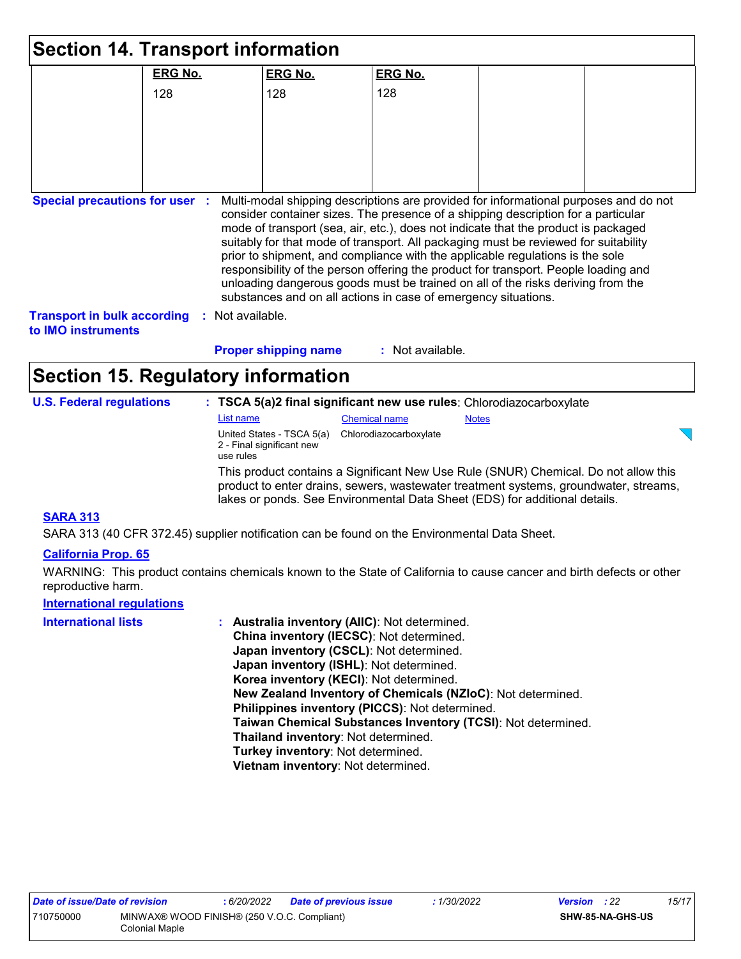| <b>Section 14. Transport information</b>                        |                |                                                        |                                                                                                                                                                     |              |                                                                                                                                                                                                                                                               |
|-----------------------------------------------------------------|----------------|--------------------------------------------------------|---------------------------------------------------------------------------------------------------------------------------------------------------------------------|--------------|---------------------------------------------------------------------------------------------------------------------------------------------------------------------------------------------------------------------------------------------------------------|
|                                                                 | <b>ERG No.</b> | <b>ERG No.</b>                                         | <b>ERG No.</b>                                                                                                                                                      |              |                                                                                                                                                                                                                                                               |
|                                                                 | 128            | 128                                                    | 128                                                                                                                                                                 |              |                                                                                                                                                                                                                                                               |
|                                                                 |                |                                                        |                                                                                                                                                                     |              |                                                                                                                                                                                                                                                               |
|                                                                 |                |                                                        |                                                                                                                                                                     |              |                                                                                                                                                                                                                                                               |
|                                                                 |                |                                                        |                                                                                                                                                                     |              |                                                                                                                                                                                                                                                               |
|                                                                 |                |                                                        |                                                                                                                                                                     |              |                                                                                                                                                                                                                                                               |
| <b>Transport in bulk according</b><br>to <b>IMO</b> instruments | Not available. | <b>Proper shipping name</b>                            | prior to shipment, and compliance with the applicable regulations is the sole<br>substances and on all actions in case of emergency situations.<br>: Not available. |              | suitably for that mode of transport. All packaging must be reviewed for suitability<br>responsibility of the person offering the product for transport. People loading and<br>unloading dangerous goods must be trained on all of the risks deriving from the |
| <b>Section 15. Regulatory information</b>                       |                |                                                        |                                                                                                                                                                     |              |                                                                                                                                                                                                                                                               |
| <b>U.S. Federal regulations</b>                                 |                |                                                        | : TSCA 5(a)2 final significant new use rules: Chlorodiazocarboxylate                                                                                                |              |                                                                                                                                                                                                                                                               |
|                                                                 | List name      |                                                        | <b>Chemical name</b>                                                                                                                                                | <b>Notes</b> |                                                                                                                                                                                                                                                               |
|                                                                 | use rules      | United States - TSCA 5(a)<br>2 - Final significant new | Chlorodiazocarboxylate                                                                                                                                              |              |                                                                                                                                                                                                                                                               |
|                                                                 |                |                                                        | lakes or ponds. See Environmental Data Sheet (EDS) for additional details.                                                                                          |              | This product contains a Significant New Use Rule (SNUR) Chemical. Do not allow this<br>product to enter drains, sewers, wastewater treatment systems, groundwater, streams,                                                                                   |
| <b>SARA 313</b>                                                 |                |                                                        |                                                                                                                                                                     |              |                                                                                                                                                                                                                                                               |

SARA 313 (40 CFR 372.45) supplier notification can be found on the Environmental Data Sheet.

### **California Prop. 65**

WARNING: This product contains chemicals known to the State of California to cause cancer and birth defects or other reproductive harm.

## **International regulations**

| <b>International lists</b> | : Australia inventory (AIIC): Not determined.                |
|----------------------------|--------------------------------------------------------------|
|                            | China inventory (IECSC): Not determined.                     |
|                            | Japan inventory (CSCL): Not determined.                      |
|                            | Japan inventory (ISHL): Not determined.                      |
|                            | Korea inventory (KECI): Not determined.                      |
|                            | New Zealand Inventory of Chemicals (NZIoC): Not determined.  |
|                            | Philippines inventory (PICCS): Not determined.               |
|                            | Taiwan Chemical Substances Inventory (TCSI): Not determined. |
|                            | Thailand inventory: Not determined.                          |
|                            | Turkey inventory: Not determined.                            |
|                            | Vietnam inventory: Not determined.                           |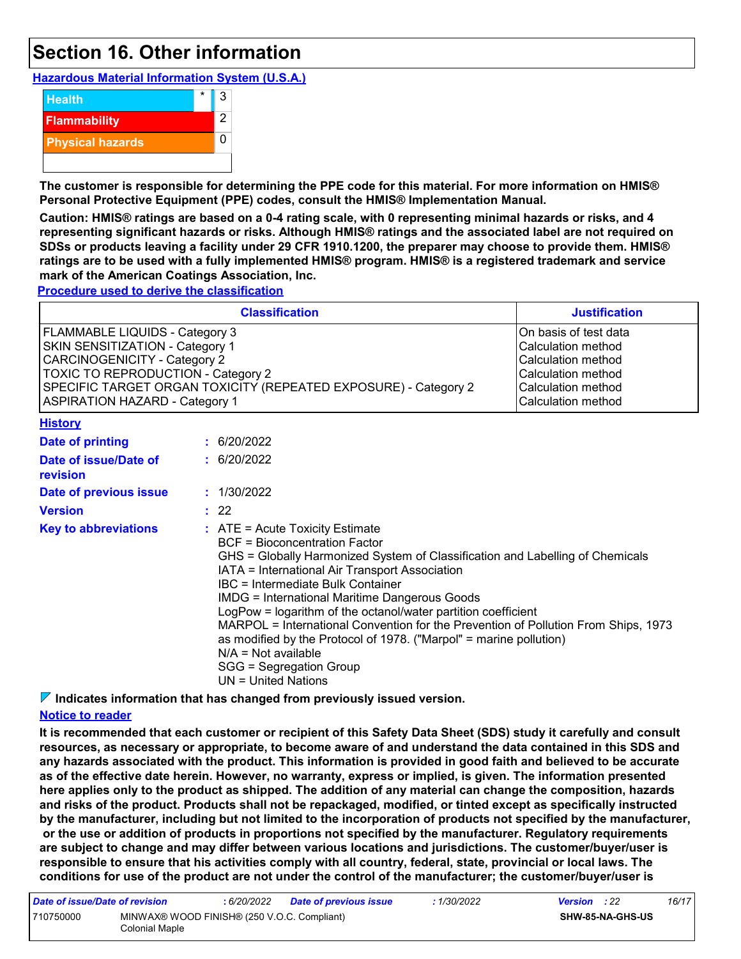### **Section 16. Other information**

**Hazardous Material Information System (U.S.A.)**



**The customer is responsible for determining the PPE code for this material. For more information on HMIS® Personal Protective Equipment (PPE) codes, consult the HMIS® Implementation Manual.**

**Caution: HMIS® ratings are based on a 0-4 rating scale, with 0 representing minimal hazards or risks, and 4 representing significant hazards or risks. Although HMIS® ratings and the associated label are not required on SDSs or products leaving a facility under 29 CFR 1910.1200, the preparer may choose to provide them. HMIS® ratings are to be used with a fully implemented HMIS® program. HMIS® is a registered trademark and service mark of the American Coatings Association, Inc.**

**Procedure used to derive the classification**

|                                                                                                                                                                                                                                                                   | <b>Classification</b>                                                                                                                                                                                                                                                                                                                                                                                                                                                                                                                                                                                             | <b>Justification</b> |
|-------------------------------------------------------------------------------------------------------------------------------------------------------------------------------------------------------------------------------------------------------------------|-------------------------------------------------------------------------------------------------------------------------------------------------------------------------------------------------------------------------------------------------------------------------------------------------------------------------------------------------------------------------------------------------------------------------------------------------------------------------------------------------------------------------------------------------------------------------------------------------------------------|----------------------|
| FLAMMABLE LIQUIDS - Category 3<br>SKIN SENSITIZATION - Category 1<br><b>CARCINOGENICITY - Category 2</b><br><b>TOXIC TO REPRODUCTION - Category 2</b><br>SPECIFIC TARGET ORGAN TOXICITY (REPEATED EXPOSURE) - Category 2<br><b>ASPIRATION HAZARD - Category 1</b> | On basis of test data<br>Calculation method<br>Calculation method<br>Calculation method<br><b>Calculation method</b><br>Calculation method                                                                                                                                                                                                                                                                                                                                                                                                                                                                        |                      |
| <b>History</b>                                                                                                                                                                                                                                                    |                                                                                                                                                                                                                                                                                                                                                                                                                                                                                                                                                                                                                   |                      |
| Date of printing                                                                                                                                                                                                                                                  | : 6/20/2022                                                                                                                                                                                                                                                                                                                                                                                                                                                                                                                                                                                                       |                      |
| Date of issue/Date of<br>revision                                                                                                                                                                                                                                 | : 6/20/2022                                                                                                                                                                                                                                                                                                                                                                                                                                                                                                                                                                                                       |                      |
| Date of previous issue                                                                                                                                                                                                                                            | : 1/30/2022                                                                                                                                                                                                                                                                                                                                                                                                                                                                                                                                                                                                       |                      |
| <b>Version</b>                                                                                                                                                                                                                                                    | : 22                                                                                                                                                                                                                                                                                                                                                                                                                                                                                                                                                                                                              |                      |
| <b>Key to abbreviations</b>                                                                                                                                                                                                                                       | : ATE = Acute Toxicity Estimate<br><b>BCF</b> = Bioconcentration Factor<br>GHS = Globally Harmonized System of Classification and Labelling of Chemicals<br>IATA = International Air Transport Association<br>IBC = Intermediate Bulk Container<br><b>IMDG = International Maritime Dangerous Goods</b><br>LogPow = logarithm of the octanol/water partition coefficient<br>MARPOL = International Convention for the Prevention of Pollution From Ships, 1973<br>as modified by the Protocol of 1978. ("Marpol" = marine pollution)<br>$N/A = Not available$<br>SGG = Segregation Group<br>$UN = United Nations$ |                      |

**Indicates information that has changed from previously issued version.**

### **Notice to reader**

**It is recommended that each customer or recipient of this Safety Data Sheet (SDS) study it carefully and consult resources, as necessary or appropriate, to become aware of and understand the data contained in this SDS and any hazards associated with the product. This information is provided in good faith and believed to be accurate as of the effective date herein. However, no warranty, express or implied, is given. The information presented here applies only to the product as shipped. The addition of any material can change the composition, hazards and risks of the product. Products shall not be repackaged, modified, or tinted except as specifically instructed by the manufacturer, including but not limited to the incorporation of products not specified by the manufacturer, or the use or addition of products in proportions not specified by the manufacturer. Regulatory requirements are subject to change and may differ between various locations and jurisdictions. The customer/buyer/user is responsible to ensure that his activities comply with all country, federal, state, provincial or local laws. The conditions for use of the product are not under the control of the manufacturer; the customer/buyer/user is** 

| Date of issue/Date of revision |                                                               | 6/20/2022 | <b>Date of previous issue</b> | : 1/30/2022 | <b>Version</b> : 22 |                         | 16/17 |
|--------------------------------|---------------------------------------------------------------|-----------|-------------------------------|-------------|---------------------|-------------------------|-------|
| 710750000                      | MINWAX® WOOD FINISH® (250 V.O.C. Compliant)<br>Colonial Maple |           |                               |             |                     | <b>SHW-85-NA-GHS-US</b> |       |